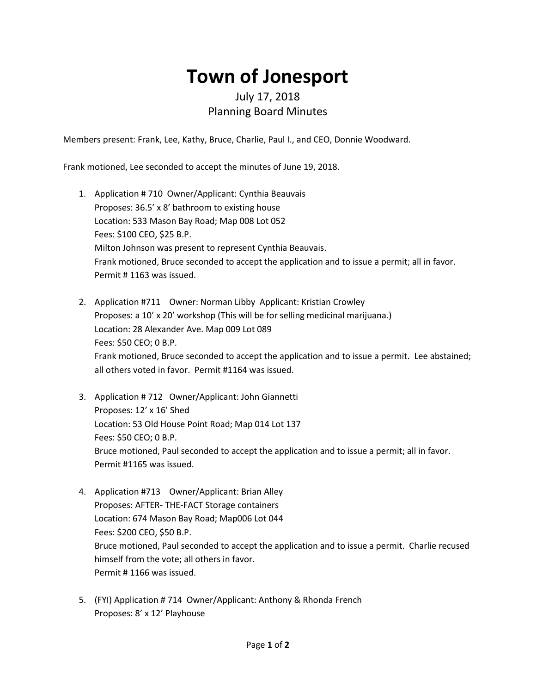## **Town of Jonesport**

## July 17, 2018 Planning Board Minutes

Members present: Frank, Lee, Kathy, Bruce, Charlie, Paul I., and CEO, Donnie Woodward.

Frank motioned, Lee seconded to accept the minutes of June 19, 2018.

- 1. Application # 710 Owner/Applicant: Cynthia Beauvais Proposes: 36.5' x 8' bathroom to existing house Location: 533 Mason Bay Road; Map 008 Lot 052 Fees: \$100 CEO, \$25 B.P. Milton Johnson was present to represent Cynthia Beauvais. Frank motioned, Bruce seconded to accept the application and to issue a permit; all in favor. Permit # 1163 was issued.
- 2. Application #711 Owner: Norman Libby Applicant: Kristian Crowley Proposes: a 10' x 20' workshop (This will be for selling medicinal marijuana.) Location: 28 Alexander Ave. Map 009 Lot 089 Fees: \$50 CEO; 0 B.P. Frank motioned, Bruce seconded to accept the application and to issue a permit. Lee abstained; all others voted in favor. Permit #1164 was issued.
- 3. Application # 712 Owner/Applicant: John Giannetti Proposes: 12' x 16' Shed Location: 53 Old House Point Road; Map 014 Lot 137 Fees: \$50 CEO; 0 B.P. Bruce motioned, Paul seconded to accept the application and to issue a permit; all in favor. Permit #1165 was issued.
- 4. Application #713 Owner/Applicant: Brian Alley Proposes: AFTER- THE-FACT Storage containers Location: 674 Mason Bay Road; Map006 Lot 044 Fees: \$200 CEO, \$50 B.P. Bruce motioned, Paul seconded to accept the application and to issue a permit. Charlie recused himself from the vote; all others in favor. Permit # 1166 was issued.
- 5. (FYI) Application # 714 Owner/Applicant: Anthony & Rhonda French Proposes: 8' x 12' Playhouse